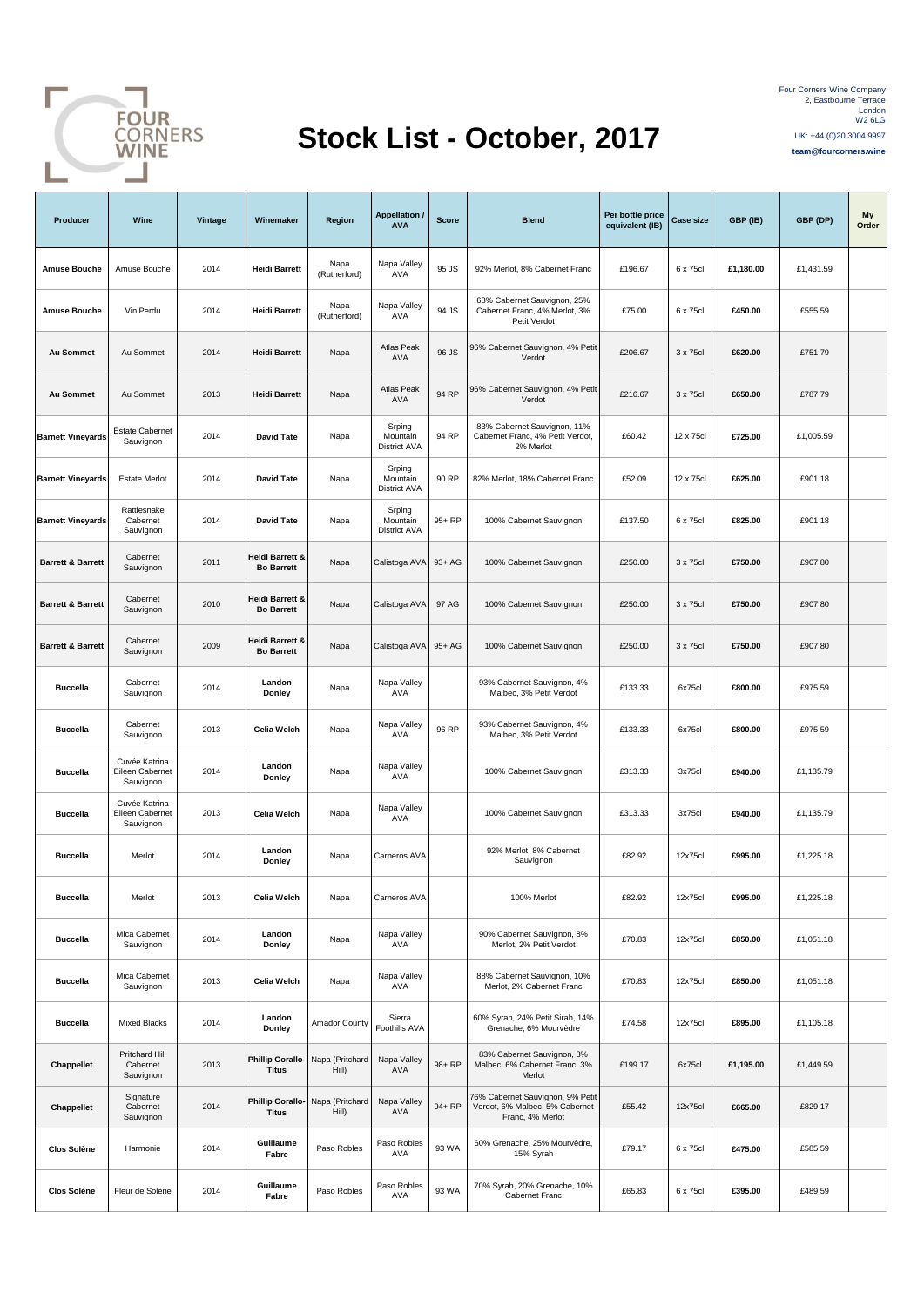

## **Stock List - October, 2017**

Four Corners Wine Company 2, Eastbourne Terrace London W2 6LG

**team@fourcorners.wine**

| Producer                     | Wine                                          | Vintage | Winemaker                               | Region                   | <b>Appellation /</b><br><b>AVA</b>        | <b>Score</b> | <b>Blend</b>                                                                           | Per bottle price<br>equivalent (IB) | Case size | GBP (IB)  | GBP (DP)  | My<br>Order |
|------------------------------|-----------------------------------------------|---------|-----------------------------------------|--------------------------|-------------------------------------------|--------------|----------------------------------------------------------------------------------------|-------------------------------------|-----------|-----------|-----------|-------------|
| <b>Amuse Bouche</b>          | Amuse Bouche                                  | 2014    | <b>Heidi Barrett</b>                    | Napa<br>(Rutherford)     | Napa Valley<br>AVA                        | 95 JS        | 92% Merlot, 8% Cabernet Franc                                                          | £196.67                             | 6 x 75cl  | £1,180.00 | £1,431.59 |             |
| <b>Amuse Bouche</b>          | Vin Perdu                                     | 2014    | <b>Heidi Barrett</b>                    | Napa<br>(Rutherford)     | Napa Valley<br>AVA                        | 94 JS        | 68% Cabernet Sauvignon, 25%<br>Cabernet Franc, 4% Merlot, 3%<br>Petit Verdot           | £75.00                              | 6 x 75cl  | £450.00   | £555.59   |             |
| <b>Au Sommet</b>             | Au Sommet                                     | 2014    | <b>Heidi Barrett</b>                    | Napa                     | Atlas Peak<br>AVA                         | 96 JS        | 96% Cabernet Sauvignon, 4% Petit<br>Verdot                                             | £206.67                             | 3 x 75cl  | £620.00   | £751.79   |             |
| <b>Au Sommet</b>             | Au Sommet                                     | 2013    | <b>Heidi Barrett</b>                    | Napa                     | Atlas Peak<br>AVA                         | 94 RP        | 96% Cabernet Sauvignon, 4% Petit<br>Verdot                                             | £216.67                             | 3 x 75cl  | £650.00   | £787.79   |             |
| <b>Barnett Vineyards</b>     | <b>Estate Cabernet</b><br>Sauvignon           | 2014    | <b>David Tate</b>                       | Napa                     | Srping<br>Mountain<br><b>District AVA</b> | 94 RP        | 83% Cabernet Sauvignon, 11%<br>Cabernet Franc, 4% Petit Verdot,<br>2% Merlot           | £60.42                              | 12 x 75cl | £725.00   | £1,005.59 |             |
| <b>Barnett Vineyards</b>     | <b>Estate Merlot</b>                          | 2014    | <b>David Tate</b>                       | Napa                     | Srping<br>Mountain<br><b>District AVA</b> | 90 RP        | 82% Merlot, 18% Cabernet Franc                                                         | £52.09                              | 12 x 75cl | £625.00   | £901.18   |             |
| <b>Barnett Vineyards</b>     | Rattlesnake<br>Cabernet<br>Sauvignon          | 2014    | <b>David Tate</b>                       | Napa                     | Srping<br>Mountain<br><b>District AVA</b> | 95+ RP       | 100% Cabernet Sauvignon                                                                | £137.50                             | 6 x 75cl  | £825.00   | £901.18   |             |
| <b>Barrett &amp; Barrett</b> | Cabernet<br>Sauvignon                         | 2011    | Heidi Barrett &<br><b>Bo Barrett</b>    | Napa                     | Calistoga AVA                             | 93+ AG       | 100% Cabernet Sauvignon                                                                | £250.00                             | 3 x 75cl  | £750.00   | £907.80   |             |
| <b>Barrett &amp; Barrett</b> | Cabernet<br>Sauvignon                         | 2010    | Heidi Barrett &<br><b>Bo Barrett</b>    | Napa                     | Calistoga AVA                             | 97 AG        | 100% Cabernet Sauvignon                                                                | £250.00                             | 3 x 75cl  | £750.00   | £907.80   |             |
| <b>Barrett &amp; Barrett</b> | Cabernet<br>Sauvignon                         | 2009    | Heidi Barrett &<br><b>Bo Barrett</b>    | Napa                     | Calistoga AVA                             | 95+ AG       | 100% Cabernet Sauvignon                                                                | £250.00                             | 3 x 75cl  | £750.00   | £907.80   |             |
| <b>Buccella</b>              | Cabernet<br>Sauvignon                         | 2014    | Landon<br>Donley                        | Napa                     | Napa Valley<br>AVA                        |              | 93% Cabernet Sauvignon, 4%<br>Malbec, 3% Petit Verdot                                  | £133.33                             | 6x75cl    | £800.00   | £975.59   |             |
| <b>Buccella</b>              | Cabernet<br>Sauvignon                         | 2013    | Celia Welch                             | Napa                     | Napa Valley<br>AVA                        | 96 RP        | 93% Cabernet Sauvignon, 4%<br>Malbec, 3% Petit Verdot                                  | £133.33                             | 6x75cl    | £800.00   | £975.59   |             |
| <b>Buccella</b>              | Cuvée Katrina<br>Eileen Cabernet<br>Sauvignon | 2014    | Landon<br>Donley                        | Napa                     | Napa Valley<br>AVA                        |              | 100% Cabernet Sauvignon                                                                | £313.33                             | 3x75cl    | £940.00   | £1,135.79 |             |
| <b>Buccella</b>              | Cuvée Katrina<br>Eileen Cabernet<br>Sauvignon | 2013    | Celia Welch                             | Napa                     | Napa Valley<br>AVA                        |              | 100% Cabernet Sauvignon                                                                | £313.33                             | 3x75cl    | £940.00   | £1,135.79 |             |
| <b>Buccella</b>              | Merlot                                        | 2014    | Landon<br>Donley                        | Napa                     | Carneros AVA                              |              | 92% Merlot, 8% Cabernet<br>Sauvignon                                                   | £82.92                              | 12x75cl   | £995.00   | £1,225.18 |             |
| <b>Buccella</b>              | Merlot                                        | 2013    | Celia Welch                             | Napa                     | Carneros AVA                              |              | 100% Merlot                                                                            | £82.92                              | 12x75cl   | £995.00   | £1,225.18 |             |
| <b>Buccella</b>              | Mica Cabernet<br>Sauvignon                    | 2014    | Landon<br>Donley                        | Napa                     | Napa Valley<br>AVA                        |              | 90% Cabernet Sauvignon, 8%<br>Merlot, 2% Petit Verdot                                  | £70.83                              | 12x75cl   | £850.00   | £1,051.18 |             |
| <b>Buccella</b>              | Mica Cabernet<br>Sauvignon                    | 2013    | <b>Celia Welch</b>                      | Napa                     | Napa Valley<br>AVA                        |              | 88% Cabernet Sauvignon, 10%<br>Merlot, 2% Cabernet Franc                               | £70.83                              | 12x75cl   | £850.00   | £1,051.18 |             |
| <b>Buccella</b>              | <b>Mixed Blacks</b>                           | 2014    | Landon<br>Donley                        | Amador County            | Sierra<br>Foothills AVA                   |              | 60% Syrah, 24% Petit Sirah, 14%<br>Grenache, 6% Mourvèdre                              | £74.58                              | 12x75cl   | £895.00   | £1,105.18 |             |
| Chappellet                   | Pritchard Hill<br>Cabernet<br>Sauvignon       | 2013    | <b>Phillip Corallo-</b><br><b>Titus</b> | Napa (Pritchard<br>Hill) | Napa Valley<br>AVA                        | 98+ RP       | 83% Cabernet Sauvignon, 8%<br>Malbec, 6% Cabernet Franc, 3%<br>Merlot                  | £199.17                             | 6x75cl    | £1,195.00 | £1,449.59 |             |
| Chappellet                   | Signature<br>Cabernet<br>Sauvignon            | 2014    | <b>Phillip Corallo-</b><br><b>Titus</b> | Napa (Pritchard<br>Hill) | Napa Valley<br>AVA                        | 94+ RP       | 76% Cabernet Sauvignon, 9% Petit<br>Verdot, 6% Malbec, 5% Cabernet<br>Franc, 4% Merlot | £55.42                              | 12x75cl   | £665.00   | £829.17   |             |
| Clos Solène                  | Harmonie                                      | 2014    | Guillaume<br>Fabre                      | Paso Robles              | Paso Robles<br>AVA                        | 93 WA        | 60% Grenache, 25% Mourvèdre,<br>15% Syrah                                              | £79.17                              | 6 x 75cl  | £475.00   | £585.59   |             |
| Clos Solène                  | Fleur de Solène                               | 2014    | Guillaume<br>Fabre                      | Paso Robles              | Paso Robles<br>AVA                        | 93 WA        | 70% Syrah, 20% Grenache, 10%<br>Cabernet Franc                                         | £65.83                              | 6 x 75cl  | £395.00   | £489.59   |             |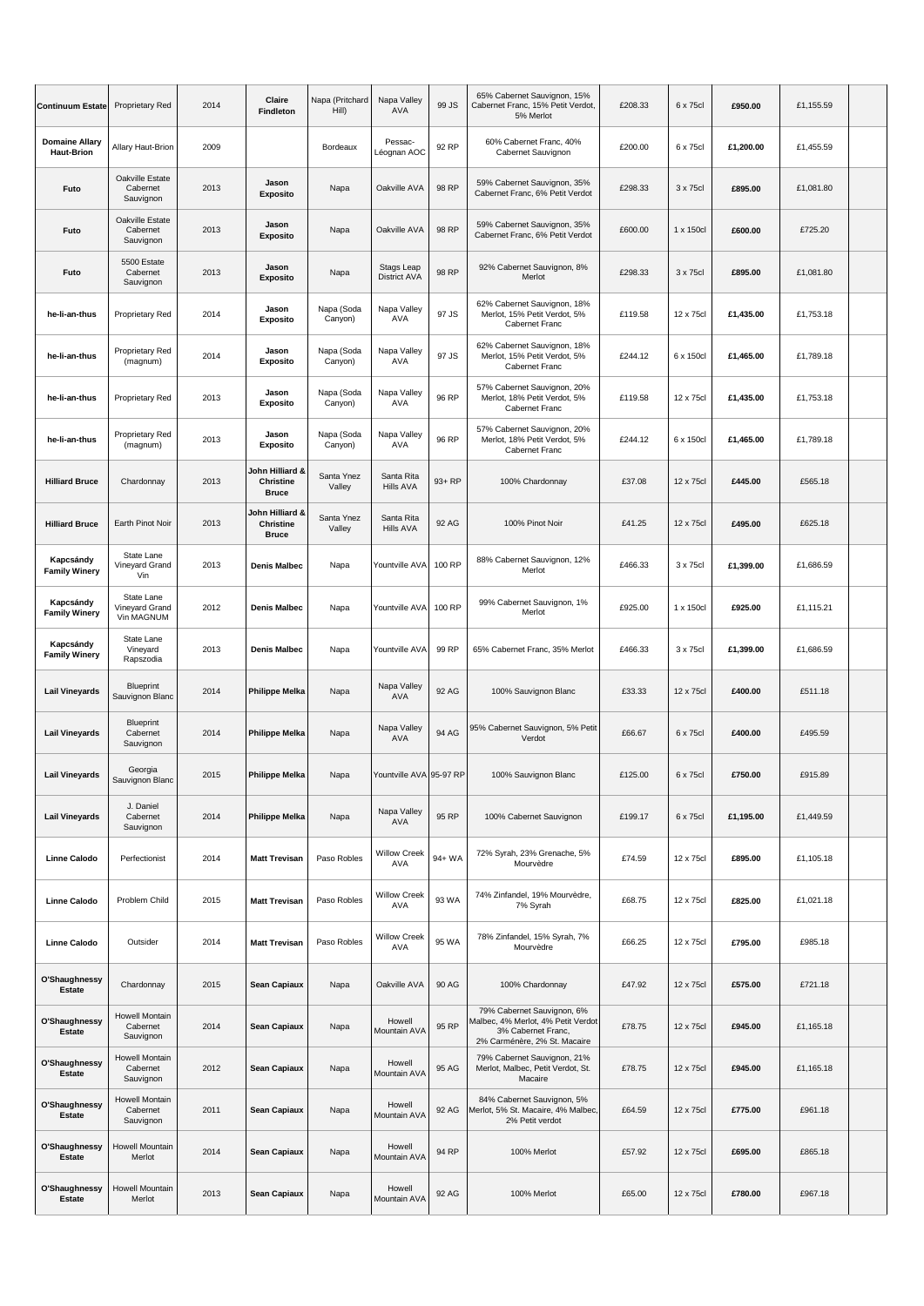| <b>Continuum Estate</b>                    | Proprietary Red                            | 2014 | Claire<br><b>Findleton</b>                          | Napa (Pritchard<br>Hill) | Napa Valley<br>AVA                | 99 JS  | 65% Cabernet Sauvignon, 15%<br>Cabernet Franc, 15% Petit Verdot,<br>5% Merlot                                          | £208.33 | 6 x 75cl  | £950.00   | £1,155.59 |  |
|--------------------------------------------|--------------------------------------------|------|-----------------------------------------------------|--------------------------|-----------------------------------|--------|------------------------------------------------------------------------------------------------------------------------|---------|-----------|-----------|-----------|--|
| <b>Domaine Allary</b><br><b>Haut-Brion</b> | Allary Haut-Brion                          | 2009 |                                                     | Bordeaux                 | Pessac-<br>Léognan AOC            | 92 RP  | 60% Cabernet Franc, 40%<br>Cabernet Sauvignon                                                                          | £200.00 | 6 x 75cl  | £1,200.00 | £1,455.59 |  |
| Futo                                       | Oakville Estate<br>Cabernet<br>Sauvignon   | 2013 | Jason<br><b>Exposito</b>                            | Napa                     | Oakville AVA                      | 98 RP  | 59% Cabernet Sauvignon, 35%<br>Cabernet Franc, 6% Petit Verdot                                                         | £298.33 | 3 x 75cl  | £895.00   | £1,081.80 |  |
| Futo                                       | Oakville Estate<br>Cabernet<br>Sauvignon   | 2013 | Jason<br><b>Exposito</b>                            | Napa                     | Oakville AVA                      | 98 RP  | 59% Cabernet Sauvignon, 35%<br>Cabernet Franc, 6% Petit Verdot                                                         | £600.00 | 1 x 150cl | £600.00   | £725.20   |  |
| Futo                                       | 5500 Estate<br>Cabernet<br>Sauvignon       | 2013 | Jason<br><b>Exposito</b>                            | Napa                     | Stags Leap<br><b>District AVA</b> | 98 RP  | 92% Cabernet Sauvignon, 8%<br>Merlot                                                                                   | £298.33 | 3 x 75cl  | £895.00   | £1,081.80 |  |
| he-li-an-thus                              | Proprietary Red                            | 2014 | Jason<br><b>Exposito</b>                            | Napa (Soda<br>Canyon)    | Napa Valley<br>AVA                | 97 JS  | 62% Cabernet Sauvignon, 18%<br>Merlot, 15% Petit Verdot, 5%<br>Cabernet Franc                                          | £119.58 | 12 x 75cl | £1,435.00 | £1,753.18 |  |
| he-li-an-thus                              | Proprietary Red<br>(magnum)                | 2014 | Jason<br><b>Exposito</b>                            | Napa (Soda<br>Canyon)    | Napa Valley<br>AVA                | 97 JS  | 62% Cabernet Sauvignon, 18%<br>Merlot, 15% Petit Verdot, 5%<br>Cabernet Franc                                          | £244.12 | 6 x 150cl | £1,465.00 | £1,789.18 |  |
| he-li-an-thus                              | Proprietary Red                            | 2013 | Jason<br><b>Exposito</b>                            | Napa (Soda<br>Canyon)    | Napa Valley<br>AVA                | 96 RP  | 57% Cabernet Sauvignon, 20%<br>Merlot, 18% Petit Verdot, 5%<br>Cabernet Franc                                          | £119.58 | 12 x 75cl | £1,435.00 | £1,753.18 |  |
| he-li-an-thus                              | Proprietary Red<br>(magnum)                | 2013 | Jason<br>Exposito                                   | Napa (Soda<br>Canyon)    | Napa Valley<br>AVA                | 96 RP  | 57% Cabernet Sauvignon, 20%<br>Merlot, 18% Petit Verdot, 5%<br>Cabernet Franc                                          | £244.12 | 6 x 150cl | £1,465.00 | £1,789.18 |  |
| <b>Hilliard Bruce</b>                      | Chardonnay                                 | 2013 | John Hilliard &<br><b>Christine</b><br><b>Bruce</b> | Santa Ynez<br>Valley     | Santa Rita<br>Hills AVA           | 93+ RP | 100% Chardonnay                                                                                                        | £37.08  | 12 x 75cl | £445.00   | £565.18   |  |
| <b>Hilliard Bruce</b>                      | Earth Pinot Noir                           | 2013 | John Hilliard &<br><b>Christine</b><br><b>Bruce</b> | Santa Ynez<br>Valley     | Santa Rita<br>Hills AVA           | 92 AG  | 100% Pinot Noir                                                                                                        | £41.25  | 12 x 75cl | £495.00   | £625.18   |  |
| Kapcsándy<br><b>Family Winery</b>          | State Lane<br>Vineyard Grand<br>Vin        | 2013 | <b>Denis Malbec</b>                                 | Napa                     | Yountville AVA                    | 100 RP | 88% Cabernet Sauvignon, 12%<br>Merlot                                                                                  | £466.33 | 3 x 75cl  | £1,399.00 | £1,686.59 |  |
| Kapcsándy<br><b>Family Winery</b>          | State Lane<br>Vineyard Grand<br>Vin MAGNUM | 2012 | <b>Denis Malbec</b>                                 | Napa                     | Yountville AVA                    | 100 RP | 99% Cabernet Sauvignon, 1%<br>Merlot                                                                                   | £925.00 | 1 x 150cl | £925.00   | £1,115.21 |  |
| Kapcsándy<br><b>Family Winery</b>          | State Lane<br>Vineyard<br>Rapszodia        | 2013 | <b>Denis Malbec</b>                                 | Napa                     | Yountville AVA                    | 99 RP  | 65% Cabernet Franc, 35% Merlot                                                                                         | £466.33 | 3 x 75cl  | £1,399.00 | £1,686.59 |  |
| <b>Lail Vineyards</b>                      | Blueprint<br>Sauvignon Blanc               | 2014 | <b>Philippe Melka</b>                               | Napa                     | Napa Valley<br>AVA                | 92 AG  | 100% Sauvignon Blanc                                                                                                   | £33.33  | 12 x 75cl | £400.00   | £511.18   |  |
| <b>Lail Vineyards</b>                      | Blueprint<br>Cabernet<br>Sauvignon         | 2014 | <b>Philippe Melka</b>                               | Napa                     | Napa Valley<br>AVA                | 94 AG  | 95% Cabernet Sauvignon, 5% Petit<br>Verdot                                                                             | £66.67  | 6 x 75cl  | £400.00   | £495.59   |  |
| <b>Lail Vineyards</b>                      | Georgia<br>Sauvignon Blanc                 | 2015 | <b>Philippe Melka</b>                               | Napa                     | Yountville AVA 95-97 RP           |        | 100% Sauvignon Blanc                                                                                                   | £125.00 | 6 x 75cl  | £750.00   | £915.89   |  |
| <b>Lail Vineyards</b>                      | J. Daniel<br>Cabernet<br>Sauvignon         | 2014 | <b>Philippe Melka</b>                               | Napa                     | Napa Valley<br>AVA                | 95 RP  | 100% Cabernet Sauvignon                                                                                                | £199.17 | 6 x 75cl  | £1,195.00 | £1,449.59 |  |
| <b>Linne Calodo</b>                        | Perfectionist                              | 2014 | <b>Matt Trevisan</b>                                | Paso Robles              | <b>Willow Creek</b><br>AVA        | 94+ WA | 72% Syrah, 23% Grenache, 5%<br>Mourvèdre                                                                               | £74.59  | 12 x 75cl | £895.00   | £1,105.18 |  |
| <b>Linne Calodo</b>                        | Problem Child                              | 2015 | <b>Matt Trevisan</b>                                | Paso Robles              | <b>Willow Creek</b><br>AVA        | 93 WA  | 74% Zinfandel, 19% Mourvèdre,<br>7% Syrah                                                                              | £68.75  | 12 x 75cl | £825.00   | £1,021.18 |  |
| <b>Linne Calodo</b>                        | Outsider                                   | 2014 | <b>Matt Trevisan</b>                                | Paso Robles              | <b>Willow Creek</b><br>AVA        | 95 WA  | 78% Zinfandel, 15% Syrah, 7%<br>Mourvèdre                                                                              | £66.25  | 12 x 75cl | £795.00   | £985.18   |  |
| O'Shaughnessy<br>Estate                    | Chardonnay                                 | 2015 | Sean Capiaux                                        | Napa                     | Oakville AVA                      | 90 AG  | 100% Chardonnay                                                                                                        | £47.92  | 12 x 75cl | £575.00   | £721.18   |  |
| O'Shaughnessy<br><b>Estate</b>             | Howell Montain<br>Cabernet<br>Sauvignon    | 2014 | Sean Capiaux                                        | Napa                     | Howell<br>Mountain AVA            | 95 RP  | 79% Cabernet Sauvignon, 6%<br>Malbec, 4% Merlot, 4% Petit Verdot<br>3% Cabernet Franc,<br>2% Carménère, 2% St. Macaire | £78.75  | 12 x 75cl | £945.00   | £1,165.18 |  |
| O'Shaughnessy<br>Estate                    | Howell Montain<br>Cabernet<br>Sauvignon    | 2012 | Sean Capiaux                                        | Napa                     | Howell<br>Mountain AVA            | 95 AG  | 79% Cabernet Sauvignon, 21%<br>Merlot, Malbec, Petit Verdot, St.<br>Macaire                                            | £78.75  | 12 x 75cl | £945.00   | £1,165.18 |  |
| O'Shaughnessy<br><b>Estate</b>             | Howell Montain<br>Cabernet<br>Sauvignon    | 2011 | Sean Capiaux                                        | Napa                     | Howell<br>Mountain AVA            | 92 AG  | 84% Cabernet Sauvignon, 5%<br>Merlot, 5% St. Macaire, 4% Malbec,<br>2% Petit verdot                                    | £64.59  | 12 x 75cl | £775.00   | £961.18   |  |
| O'Shaughnessy<br>Estate                    | Howell Mountain<br>Merlot                  | 2014 | Sean Capiaux                                        | Napa                     | Howell<br>Mountain AVA            | 94 RP  | 100% Merlot                                                                                                            | £57.92  | 12 x 75cl | £695.00   | £865.18   |  |
| O'Shaughnessy<br><b>Estate</b>             | Howell Mountain<br>Merlot                  | 2013 | Sean Capiaux                                        | Napa                     | Howell<br>Mountain AVA            | 92 AG  | 100% Merlot                                                                                                            | £65.00  | 12 x 75cl | £780.00   | £967.18   |  |